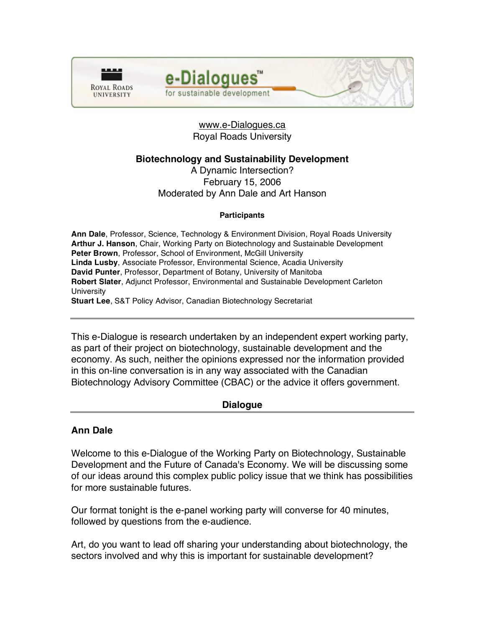

e-Dialogues<sup>"</sup> for sustainable development

> www.e-Dialogues.ca Royal Roads University

## **Biotechnology and Sustainability Development**

A Dynamic Intersection? February 15, 2006 Moderated by Ann Dale and Art Hanson

#### **Participants**

**Ann Dale**, Professor, Science, Technology & Environment Division, Royal Roads University **Arthur J. Hanson**, Chair, Working Party on Biotechnology and Sustainable Development **Peter Brown, Professor, School of Environment, McGill University Linda Lusby**, Associate Professor, Environmental Science, Acadia University **David Punter**, Professor, Department of Botany, University of Manitoba **Robert Slater**, Adjunct Professor, Environmental and Sustainable Development Carleton **University Stuart Lee**, S&T Policy Advisor, Canadian Biotechnology Secretariat

This e-Dialogue is research undertaken by an independent expert working party, as part of their project on biotechnology, sustainable development and the economy. As such, neither the opinions expressed nor the information provided in this on-line conversation is in any way associated with the Canadian Biotechnology Advisory Committee (CBAC) or the advice it offers government.

## **Dialogue**

# **Ann Dale**

Welcome to this e-Dialogue of the Working Party on Biotechnology, Sustainable Development and the Future of Canada's Economy. We will be discussing some of our ideas around this complex public policy issue that we think has possibilities for more sustainable futures.

Our format tonight is the e-panel working party will converse for 40 minutes, followed by questions from the e-audience.

Art, do you want to lead off sharing your understanding about biotechnology, the sectors involved and why this is important for sustainable development?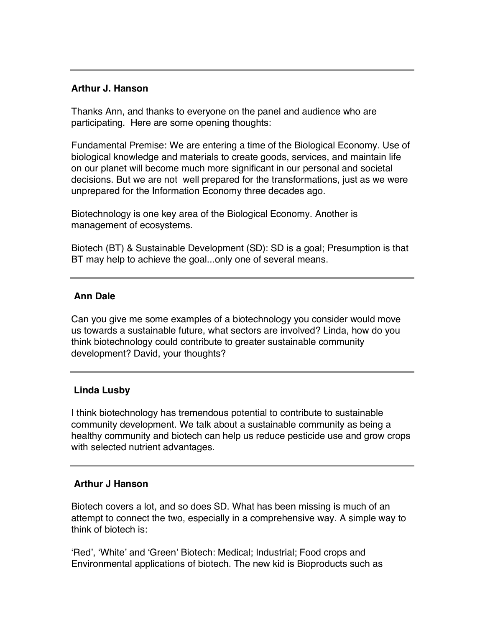#### **Arthur J. Hanson**

Thanks Ann, and thanks to everyone on the panel and audience who are participating. Here are some opening thoughts:

Fundamental Premise: We are entering a time of the Biological Economy. Use of biological knowledge and materials to create goods, services, and maintain life on our planet will become much more significant in our personal and societal decisions. But we are not well prepared for the transformations, just as we were unprepared for the Information Economy three decades ago.

Biotechnology is one key area of the Biological Economy. Another is management of ecosystems.

Biotech (BT) & Sustainable Development (SD): SD is a goal; Presumption is that BT may help to achieve the goal...only one of several means.

## **Ann Dale**

Can you give me some examples of a biotechnology you consider would move us towards a sustainable future, what sectors are involved? Linda, how do you think biotechnology could contribute to greater sustainable community development? David, your thoughts?

## **Linda Lusby**

I think biotechnology has tremendous potential to contribute to sustainable community development. We talk about a sustainable community as being a healthy community and biotech can help us reduce pesticide use and grow crops with selected nutrient advantages.

#### **Arthur J Hanson**

Biotech covers a lot, and so does SD. What has been missing is much of an attempt to connect the two, especially in a comprehensive way. A simple way to think of biotech is:

'Red', 'White' and 'Green' Biotech: Medical; Industrial; Food crops and Environmental applications of biotech. The new kid is Bioproducts such as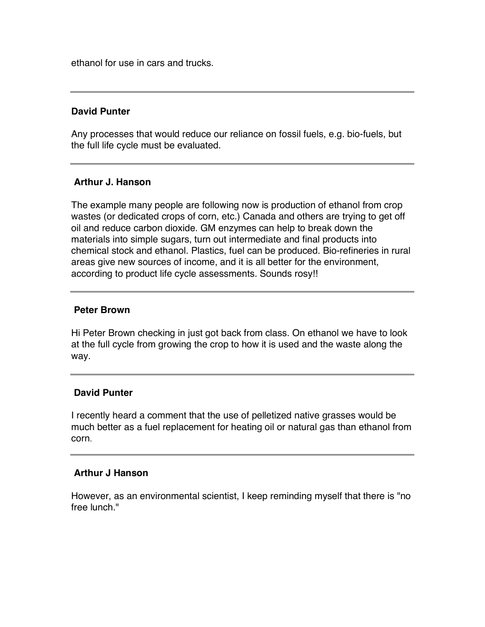ethanol for use in cars and trucks.

#### **David Punter**

Any processes that would reduce our reliance on fossil fuels, e.g. bio-fuels, but the full life cycle must be evaluated.

## **Arthur J. Hanson**

The example many people are following now is production of ethanol from crop wastes (or dedicated crops of corn, etc.) Canada and others are trying to get off oil and reduce carbon dioxide. GM enzymes can help to break down the materials into simple sugars, turn out intermediate and final products into chemical stock and ethanol. Plastics, fuel can be produced. Bio-refineries in rural areas give new sources of income, and it is all better for the environment, according to product life cycle assessments. Sounds rosy!!

#### **Peter Brown**

Hi Peter Brown checking in just got back from class. On ethanol we have to look at the full cycle from growing the crop to how it is used and the waste along the way.

#### **David Punter**

I recently heard a comment that the use of pelletized native grasses would be much better as a fuel replacement for heating oil or natural gas than ethanol from corn.

#### **Arthur J Hanson**

However, as an environmental scientist, I keep reminding myself that there is "no free lunch."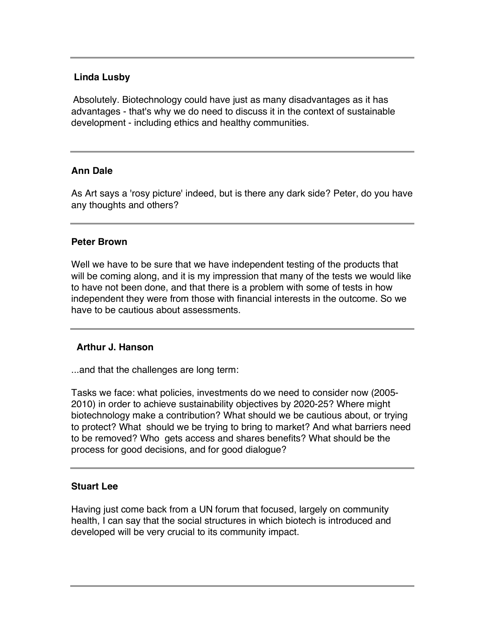# **Linda Lusby**

Absolutely. Biotechnology could have just as many disadvantages as it has advantages - that's why we do need to discuss it in the context of sustainable development - including ethics and healthy communities.

## **Ann Dale**

As Art says a 'rosy picture' indeed, but is there any dark side? Peter, do you have any thoughts and others?

#### **Peter Brown**

Well we have to be sure that we have independent testing of the products that will be coming along, and it is my impression that many of the tests we would like to have not been done, and that there is a problem with some of tests in how independent they were from those with financial interests in the outcome. So we have to be cautious about assessments.

## **Arthur J. Hanson**

...and that the challenges are long term:

Tasks we face: what policies, investments do we need to consider now (2005- 2010) in order to achieve sustainability objectives by 2020-25? Where might biotechnology make a contribution? What should we be cautious about, or trying to protect? What should we be trying to bring to market? And what barriers need to be removed? Who gets access and shares benefits? What should be the process for good decisions, and for good dialogue?

## **Stuart Lee**

Having just come back from a UN forum that focused, largely on community health, I can say that the social structures in which biotech is introduced and developed will be very crucial to its community impact.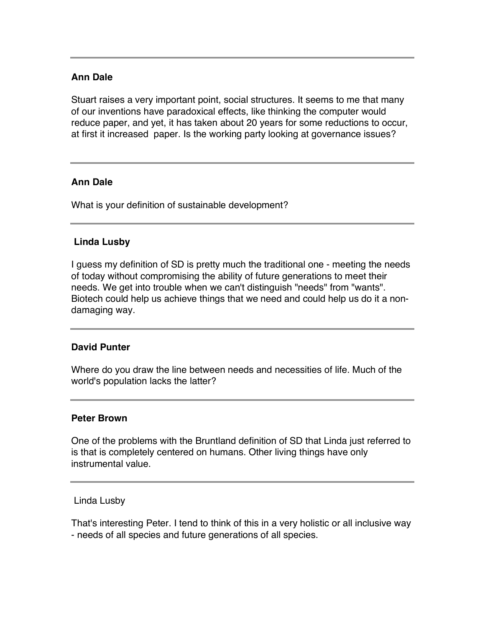## **Ann Dale**

Stuart raises a very important point, social structures. It seems to me that many of our inventions have paradoxical effects, like thinking the computer would reduce paper, and yet, it has taken about 20 years for some reductions to occur, at first it increased paper. Is the working party looking at governance issues?

# **Ann Dale**

What is your definition of sustainable development?

## **Linda Lusby**

I guess my definition of SD is pretty much the traditional one - meeting the needs of today without compromising the ability of future generations to meet their needs. We get into trouble when we can't distinguish "needs" from "wants". Biotech could help us achieve things that we need and could help us do it a nondamaging way.

## **David Punter**

Where do you draw the line between needs and necessities of life. Much of the world's population lacks the latter?

## **Peter Brown**

One of the problems with the Bruntland definition of SD that Linda just referred to is that is completely centered on humans. Other living things have only instrumental value.

Linda Lusby

That's interesting Peter. I tend to think of this in a very holistic or all inclusive way - needs of all species and future generations of all species.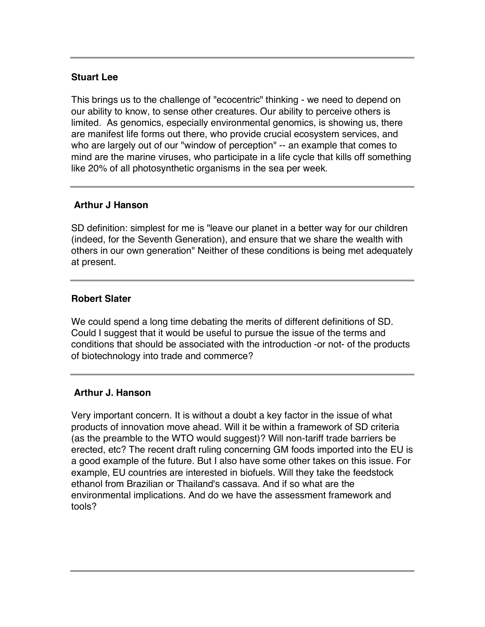# **Stuart Lee**

This brings us to the challenge of "ecocentric" thinking - we need to depend on our ability to know, to sense other creatures. Our ability to perceive others is limited. As genomics, especially environmental genomics, is showing us, there are manifest life forms out there, who provide crucial ecosystem services, and who are largely out of our "window of perception" -- an example that comes to mind are the marine viruses, who participate in a life cycle that kills off something like 20% of all photosynthetic organisms in the sea per week.

# **Arthur J Hanson**

SD definition: simplest for me is "leave our planet in a better way for our children (indeed, for the Seventh Generation), and ensure that we share the wealth with others in our own generation" Neither of these conditions is being met adequately at present.

## **Robert Slater**

We could spend a long time debating the merits of different definitions of SD. Could I suggest that it would be useful to pursue the issue of the terms and conditions that should be associated with the introduction -or not- of the products of biotechnology into trade and commerce?

# **Arthur J. Hanson**

Very important concern. It is without a doubt a key factor in the issue of what products of innovation move ahead. Will it be within a framework of SD criteria (as the preamble to the WTO would suggest)? Will non-tariff trade barriers be erected, etc? The recent draft ruling concerning GM foods imported into the EU is a good example of the future. But I also have some other takes on this issue. For example, EU countries are interested in biofuels. Will they take the feedstock ethanol from Brazilian or Thailand's cassava. And if so what are the environmental implications. And do we have the assessment framework and tools?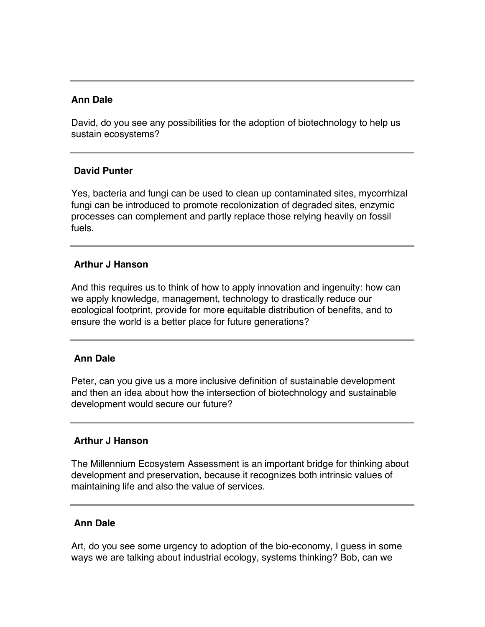## **Ann Dale**

David, do you see any possibilities for the adoption of biotechnology to help us sustain ecosystems?

## **David Punter**

Yes, bacteria and fungi can be used to clean up contaminated sites, mycorrhizal fungi can be introduced to promote recolonization of degraded sites, enzymic processes can complement and partly replace those relying heavily on fossil fuels.

# **Arthur J Hanson**

And this requires us to think of how to apply innovation and ingenuity: how can we apply knowledge, management, technology to drastically reduce our ecological footprint, provide for more equitable distribution of benefits, and to ensure the world is a better place for future generations?

## **Ann Dale**

Peter, can you give us a more inclusive definition of sustainable development and then an idea about how the intersection of biotechnology and sustainable development would secure our future?

# **Arthur J Hanson**

The Millennium Ecosystem Assessment is an important bridge for thinking about development and preservation, because it recognizes both intrinsic values of maintaining life and also the value of services.

## **Ann Dale**

Art, do you see some urgency to adoption of the bio-economy, I guess in some ways we are talking about industrial ecology, systems thinking? Bob, can we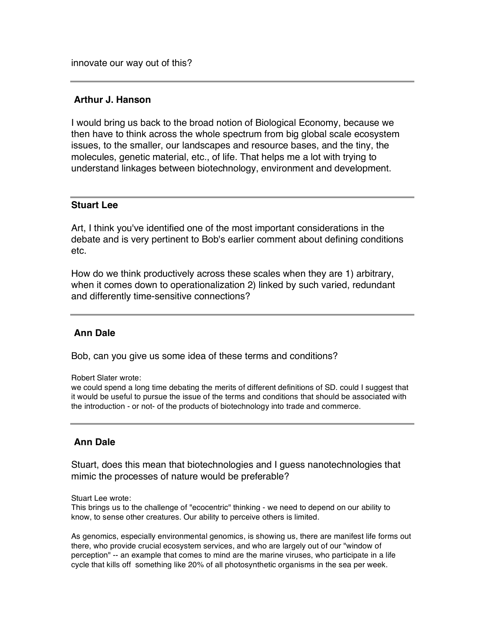innovate our way out of this?

#### **Arthur J. Hanson**

I would bring us back to the broad notion of Biological Economy, because we then have to think across the whole spectrum from big global scale ecosystem issues, to the smaller, our landscapes and resource bases, and the tiny, the molecules, genetic material, etc., of life. That helps me a lot with trying to understand linkages between biotechnology, environment and development.

#### **Stuart Lee**

Art, I think you've identified one of the most important considerations in the debate and is very pertinent to Bob's earlier comment about defining conditions etc.

How do we think productively across these scales when they are 1) arbitrary, when it comes down to operationalization 2) linked by such varied, redundant and differently time-sensitive connections?

## **Ann Dale**

Bob, can you give us some idea of these terms and conditions?

Robert Slater wrote:

we could spend a long time debating the merits of different definitions of SD. could I suggest that it would be useful to pursue the issue of the terms and conditions that should be associated with the introduction - or not- of the products of biotechnology into trade and commerce.

## **Ann Dale**

Stuart, does this mean that biotechnologies and I guess nanotechnologies that mimic the processes of nature would be preferable?

Stuart Lee wrote:

This brings us to the challenge of "ecocentric" thinking - we need to depend on our ability to know, to sense other creatures. Our ability to perceive others is limited.

As genomics, especially environmental genomics, is showing us, there are manifest life forms out there, who provide crucial ecosystem services, and who are largely out of our "window of perception" -- an example that comes to mind are the marine viruses, who participate in a life cycle that kills off something like 20% of all photosynthetic organisms in the sea per week.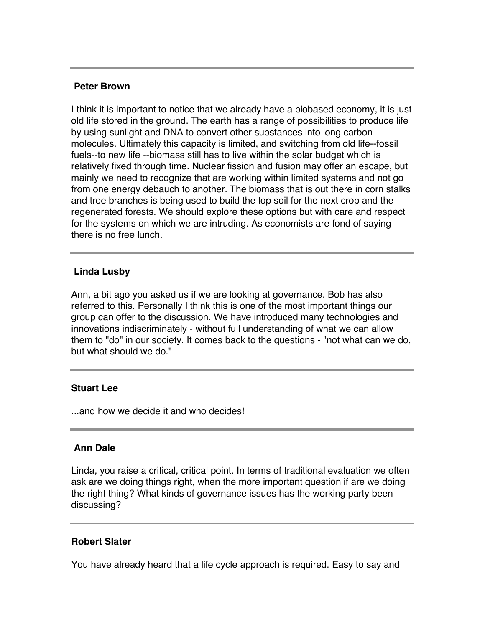#### **Peter Brown**

I think it is important to notice that we already have a biobased economy, it is just old life stored in the ground. The earth has a range of possibilities to produce life by using sunlight and DNA to convert other substances into long carbon molecules. Ultimately this capacity is limited, and switching from old life--fossil fuels--to new life --biomass still has to live within the solar budget which is relatively fixed through time. Nuclear fission and fusion may offer an escape, but mainly we need to recognize that are working within limited systems and not go from one energy debauch to another. The biomass that is out there in corn stalks and tree branches is being used to build the top soil for the next crop and the regenerated forests. We should explore these options but with care and respect for the systems on which we are intruding. As economists are fond of saying there is no free lunch.

## **Linda Lusby**

Ann, a bit ago you asked us if we are looking at governance. Bob has also referred to this. Personally I think this is one of the most important things our group can offer to the discussion. We have introduced many technologies and innovations indiscriminately - without full understanding of what we can allow them to "do" in our society. It comes back to the questions - "not what can we do, but what should we do."

#### **Stuart Lee**

...and how we decide it and who decides!

#### **Ann Dale**

Linda, you raise a critical, critical point. In terms of traditional evaluation we often ask are we doing things right, when the more important question if are we doing the right thing? What kinds of governance issues has the working party been discussing?

## **Robert Slater**

You have already heard that a life cycle approach is required. Easy to say and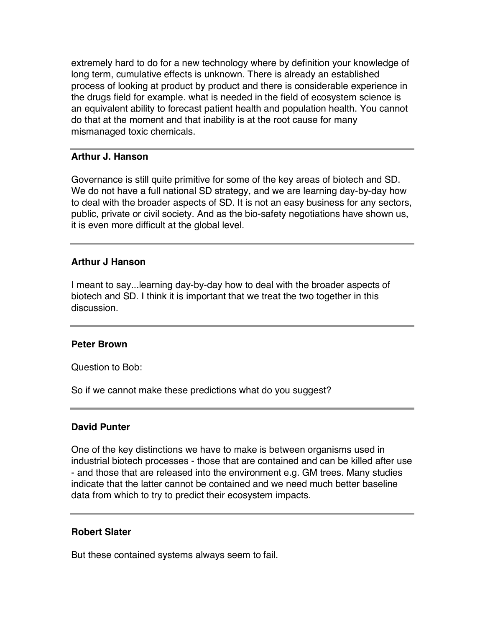extremely hard to do for a new technology where by definition your knowledge of long term, cumulative effects is unknown. There is already an established process of looking at product by product and there is considerable experience in the drugs field for example. what is needed in the field of ecosystem science is an equivalent ability to forecast patient health and population health. You cannot do that at the moment and that inability is at the root cause for many mismanaged toxic chemicals.

#### **Arthur J. Hanson**

Governance is still quite primitive for some of the key areas of biotech and SD. We do not have a full national SD strategy, and we are learning day-by-day how to deal with the broader aspects of SD. It is not an easy business for any sectors, public, private or civil society. And as the bio-safety negotiations have shown us, it is even more difficult at the global level.

#### **Arthur J Hanson**

I meant to say...learning day-by-day how to deal with the broader aspects of biotech and SD. I think it is important that we treat the two together in this discussion.

#### **Peter Brown**

Question to Bob:

So if we cannot make these predictions what do you suggest?

#### **David Punter**

One of the key distinctions we have to make is between organisms used in industrial biotech processes - those that are contained and can be killed after use - and those that are released into the environment e.g. GM trees. Many studies indicate that the latter cannot be contained and we need much better baseline data from which to try to predict their ecosystem impacts.

## **Robert Slater**

But these contained systems always seem to fail.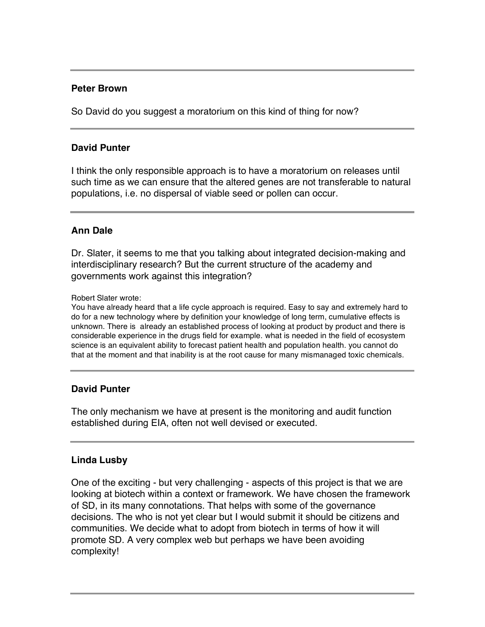#### **Peter Brown**

So David do you suggest a moratorium on this kind of thing for now?

#### **David Punter**

I think the only responsible approach is to have a moratorium on releases until such time as we can ensure that the altered genes are not transferable to natural populations, i.e. no dispersal of viable seed or pollen can occur.

## **Ann Dale**

Dr. Slater, it seems to me that you talking about integrated decision-making and interdisciplinary research? But the current structure of the academy and governments work against this integration?

Robert Slater wrote:

You have already heard that a life cycle approach is required. Easy to say and extremely hard to do for a new technology where by definition your knowledge of long term, cumulative effects is unknown. There is already an established process of looking at product by product and there is considerable experience in the drugs field for example. what is needed in the field of ecosystem science is an equivalent ability to forecast patient health and population health. you cannot do that at the moment and that inability is at the root cause for many mismanaged toxic chemicals.

## **David Punter**

The only mechanism we have at present is the monitoring and audit function established during EIA, often not well devised or executed.

## **Linda Lusby**

One of the exciting - but very challenging - aspects of this project is that we are looking at biotech within a context or framework. We have chosen the framework of SD, in its many connotations. That helps with some of the governance decisions. The who is not yet clear but I would submit it should be citizens and communities. We decide what to adopt from biotech in terms of how it will promote SD. A very complex web but perhaps we have been avoiding complexity!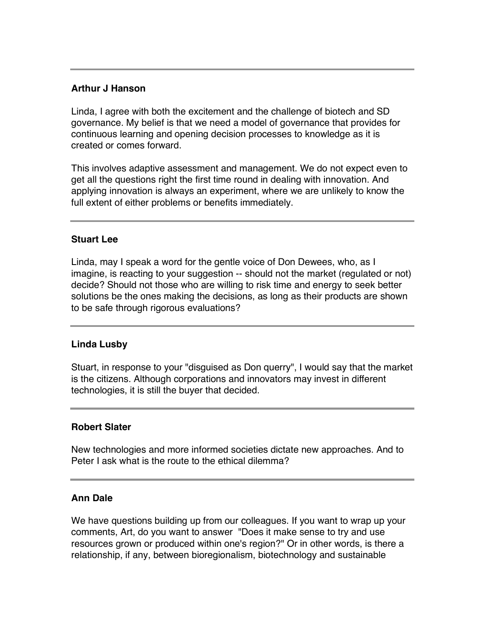# **Arthur J Hanson**

Linda, I agree with both the excitement and the challenge of biotech and SD governance. My belief is that we need a model of governance that provides for continuous learning and opening decision processes to knowledge as it is created or comes forward.

This involves adaptive assessment and management. We do not expect even to get all the questions right the first time round in dealing with innovation. And applying innovation is always an experiment, where we are unlikely to know the full extent of either problems or benefits immediately.

## **Stuart Lee**

Linda, may I speak a word for the gentle voice of Don Dewees, who, as I imagine, is reacting to your suggestion -- should not the market (regulated or not) decide? Should not those who are willing to risk time and energy to seek better solutions be the ones making the decisions, as long as their products are shown to be safe through rigorous evaluations?

## **Linda Lusby**

Stuart, in response to your "disguised as Don querry", I would say that the market is the citizens. Although corporations and innovators may invest in different technologies, it is still the buyer that decided.

#### **Robert Slater**

New technologies and more informed societies dictate new approaches. And to Peter I ask what is the route to the ethical dilemma?

## **Ann Dale**

We have questions building up from our colleagues. If you want to wrap up your comments, Art, do you want to answer "Does it make sense to try and use resources grown or produced within one's region?" Or in other words, is there a relationship, if any, between bioregionalism, biotechnology and sustainable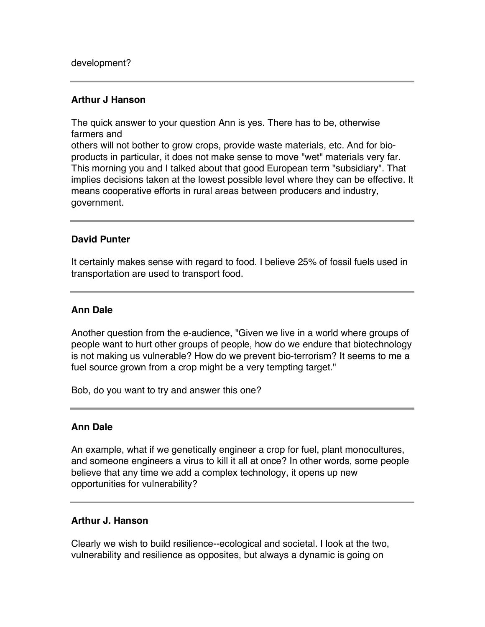#### **Arthur J Hanson**

The quick answer to your question Ann is yes. There has to be, otherwise farmers and

others will not bother to grow crops, provide waste materials, etc. And for bioproducts in particular, it does not make sense to move "wet" materials very far. This morning you and I talked about that good European term "subsidiary". That implies decisions taken at the lowest possible level where they can be effective. It means cooperative efforts in rural areas between producers and industry, government.

#### **David Punter**

It certainly makes sense with regard to food. I believe 25% of fossil fuels used in transportation are used to transport food.

#### **Ann Dale**

Another question from the e-audience, "Given we live in a world where groups of people want to hurt other groups of people, how do we endure that biotechnology is not making us vulnerable? How do we prevent bio-terrorism? It seems to me a fuel source grown from a crop might be a very tempting target."

Bob, do you want to try and answer this one?

#### **Ann Dale**

An example, what if we genetically engineer a crop for fuel, plant monocultures, and someone engineers a virus to kill it all at once? In other words, some people believe that any time we add a complex technology, it opens up new opportunities for vulnerability?

#### **Arthur J. Hanson**

Clearly we wish to build resilience--ecological and societal. I look at the two, vulnerability and resilience as opposites, but always a dynamic is going on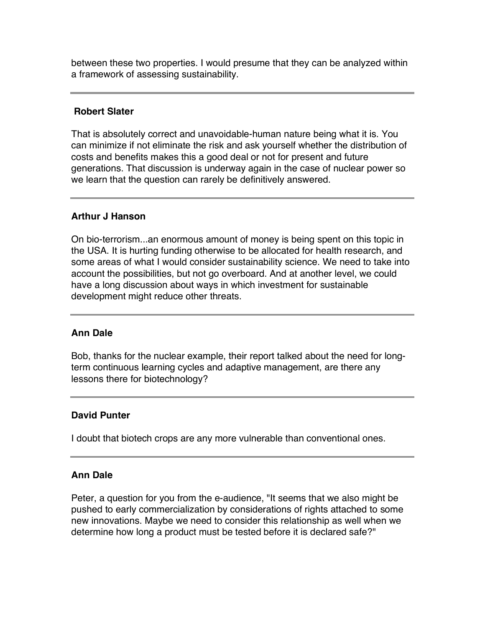between these two properties. I would presume that they can be analyzed within a framework of assessing sustainability.

# **Robert Slater**

That is absolutely correct and unavoidable-human nature being what it is. You can minimize if not eliminate the risk and ask yourself whether the distribution of costs and benefits makes this a good deal or not for present and future generations. That discussion is underway again in the case of nuclear power so we learn that the question can rarely be definitively answered.

# **Arthur J Hanson**

On bio-terrorism...an enormous amount of money is being spent on this topic in the USA. It is hurting funding otherwise to be allocated for health research, and some areas of what I would consider sustainability science. We need to take into account the possibilities, but not go overboard. And at another level, we could have a long discussion about ways in which investment for sustainable development might reduce other threats.

## **Ann Dale**

Bob, thanks for the nuclear example, their report talked about the need for longterm continuous learning cycles and adaptive management, are there any lessons there for biotechnology?

# **David Punter**

I doubt that biotech crops are any more vulnerable than conventional ones.

## **Ann Dale**

Peter, a question for you from the e-audience, "It seems that we also might be pushed to early commercialization by considerations of rights attached to some new innovations. Maybe we need to consider this relationship as well when we determine how long a product must be tested before it is declared safe?"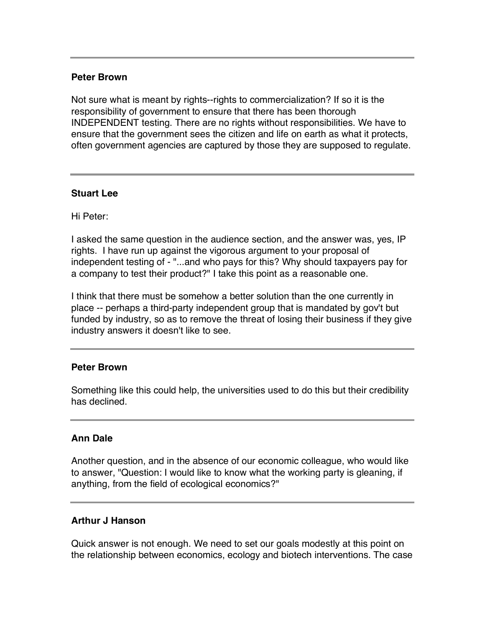## **Peter Brown**

Not sure what is meant by rights--rights to commercialization? If so it is the responsibility of government to ensure that there has been thorough INDEPENDENT testing. There are no rights without responsibilities. We have to ensure that the government sees the citizen and life on earth as what it protects, often government agencies are captured by those they are supposed to regulate.

#### **Stuart Lee**

Hi Peter:

I asked the same question in the audience section, and the answer was, yes, IP rights. I have run up against the vigorous argument to your proposal of independent testing of - "...and who pays for this? Why should taxpayers pay for a company to test their product?" I take this point as a reasonable one.

I think that there must be somehow a better solution than the one currently in place -- perhaps a third-party independent group that is mandated by gov't but funded by industry, so as to remove the threat of losing their business if they give industry answers it doesn't like to see.

#### **Peter Brown**

Something like this could help, the universities used to do this but their credibility has declined.

## **Ann Dale**

Another question, and in the absence of our economic colleague, who would like to answer, "Question: I would like to know what the working party is gleaning, if anything, from the field of ecological economics?"

#### **Arthur J Hanson**

Quick answer is not enough. We need to set our goals modestly at this point on the relationship between economics, ecology and biotech interventions. The case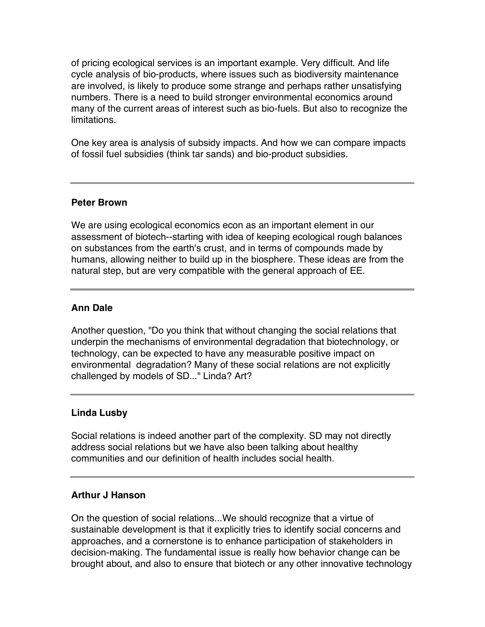of pricing ecological services is an important example. Very difficult. And life cycle analysis of bio-products, where issues such as biodiversity maintenance are involved, is likely to produce some strange and perhaps rather unsatisfying numbers. There is a need to build stronger environmental economics around many of the current areas of interest such as bio-fuels. But also to recognize the limitations.

One key area is analysis of subsidy impacts. And how we can compare impacts of fossil fuel subsidies (think tar sands) and bio-product subsidies.

#### **Peter Brown**

We are using ecological economics econ as an important element in our assessment of biotech--starting with idea of keeping ecological rough balances on substances from the earth's crust, and in terms of compounds made by humans, allowing neither to build up in the biosphere. These ideas are from the natural step, but are very compatible with the general approach of EE.

#### **Ann Dale**

Another question, "Do you think that without changing the social relations that underpin the mechanisms of environmental degradation that biotechnology, or technology, can be expected to have any measurable positive impact on environmental degradation? Many of these social relations are not explicitly challenged by models of SD..." Linda? Art?

## **Linda Lusby**

Social relations is indeed another part of the complexity. SD may not directly address social relations but we have also been talking about healthy communities and our definition of health includes social health.

## **Arthur J Hanson**

On the question of social relations...We should recognize that a virtue of sustainable development is that it explicitly tries to identify social concerns and approaches, and a cornerstone is to enhance participation of stakeholders in decision-making. The fundamental issue is really how behavior change can be brought about, and also to ensure that biotech or any other innovative technology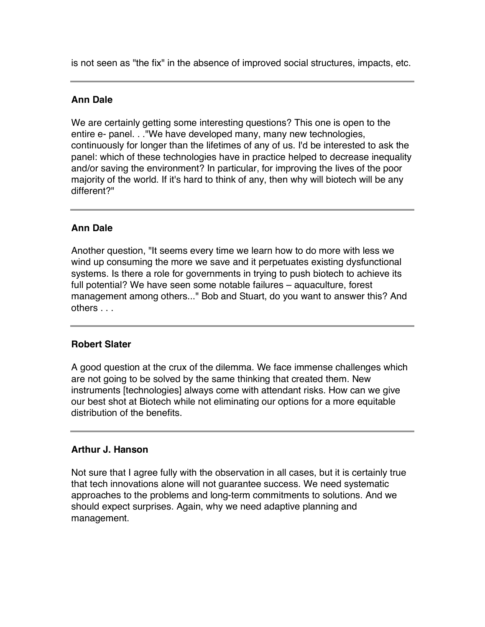is not seen as "the fix" in the absence of improved social structures, impacts, etc.

# **Ann Dale**

We are certainly getting some interesting questions? This one is open to the entire e- panel. . ."We have developed many, many new technologies, continuously for longer than the lifetimes of any of us. I'd be interested to ask the panel: which of these technologies have in practice helped to decrease inequality and/or saving the environment? In particular, for improving the lives of the poor majority of the world. If it's hard to think of any, then why will biotech will be any different?"

# **Ann Dale**

Another question, "It seems every time we learn how to do more with less we wind up consuming the more we save and it perpetuates existing dysfunctional systems. Is there a role for governments in trying to push biotech to achieve its full potential? We have seen some notable failures – aquaculture, forest management among others..." Bob and Stuart, do you want to answer this? And others . . .

## **Robert Slater**

A good question at the crux of the dilemma. We face immense challenges which are not going to be solved by the same thinking that created them. New instruments [technologies] always come with attendant risks. How can we give our best shot at Biotech while not eliminating our options for a more equitable distribution of the benefits.

## **Arthur J. Hanson**

Not sure that I agree fully with the observation in all cases, but it is certainly true that tech innovations alone will not guarantee success. We need systematic approaches to the problems and long-term commitments to solutions. And we should expect surprises. Again, why we need adaptive planning and management.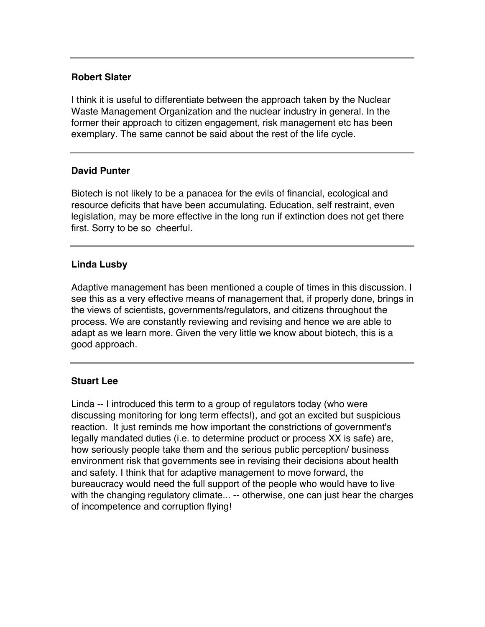# **Robert Slater**

I think it is useful to differentiate between the approach taken by the Nuclear Waste Management Organization and the nuclear industry in general. In the former their approach to citizen engagement, risk management etc has been exemplary. The same cannot be said about the rest of the life cycle.

## **David Punter**

Biotech is not likely to be a panacea for the evils of financial, ecological and resource deficits that have been accumulating. Education, self restraint, even legislation, may be more effective in the long run if extinction does not get there first. Sorry to be so cheerful.

# **Linda Lusby**

Adaptive management has been mentioned a couple of times in this discussion. I see this as a very effective means of management that, if properly done, brings in the views of scientists, governments/regulators, and citizens throughout the process. We are constantly reviewing and revising and hence we are able to adapt as we learn more. Given the very little we know about biotech, this is a good approach.

## **Stuart Lee**

Linda -- I introduced this term to a group of regulators today (who were discussing monitoring for long term effects!), and got an excited but suspicious reaction. It just reminds me how important the constrictions of government's legally mandated duties (i.e. to determine product or process XX is safe) are, how seriously people take them and the serious public perception/ business environment risk that governments see in revising their decisions about health and safety. I think that for adaptive management to move forward, the bureaucracy would need the full support of the people who would have to live with the changing regulatory climate... -- otherwise, one can just hear the charges of incompetence and corruption flying!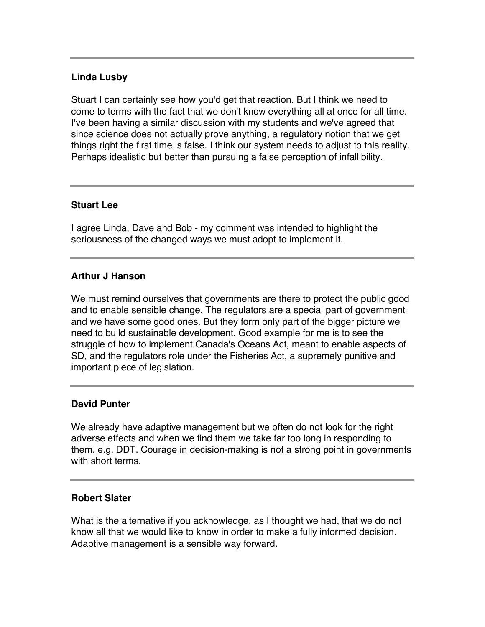# **Linda Lusby**

Stuart I can certainly see how you'd get that reaction. But I think we need to come to terms with the fact that we don't know everything all at once for all time. I've been having a similar discussion with my students and we've agreed that since science does not actually prove anything, a regulatory notion that we get things right the first time is false. I think our system needs to adjust to this reality. Perhaps idealistic but better than pursuing a false perception of infallibility.

## **Stuart Lee**

I agree Linda, Dave and Bob - my comment was intended to highlight the seriousness of the changed ways we must adopt to implement it.

# **Arthur J Hanson**

We must remind ourselves that governments are there to protect the public good and to enable sensible change. The regulators are a special part of government and we have some good ones. But they form only part of the bigger picture we need to build sustainable development. Good example for me is to see the struggle of how to implement Canada's Oceans Act, meant to enable aspects of SD, and the regulators role under the Fisheries Act, a supremely punitive and important piece of legislation.

## **David Punter**

We already have adaptive management but we often do not look for the right adverse effects and when we find them we take far too long in responding to them, e.g. DDT. Courage in decision-making is not a strong point in governments with short terms.

## **Robert Slater**

What is the alternative if you acknowledge, as I thought we had, that we do not know all that we would like to know in order to make a fully informed decision. Adaptive management is a sensible way forward.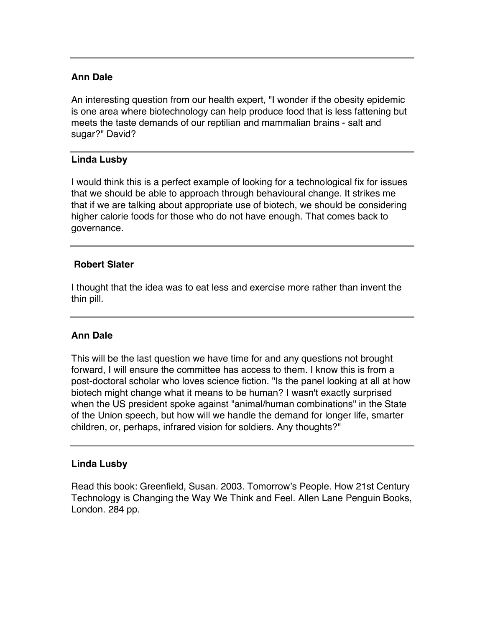# **Ann Dale**

An interesting question from our health expert, "I wonder if the obesity epidemic is one area where biotechnology can help produce food that is less fattening but meets the taste demands of our reptilian and mammalian brains - salt and sugar?" David?

## **Linda Lusby**

I would think this is a perfect example of looking for a technological fix for issues that we should be able to approach through behavioural change. It strikes me that if we are talking about appropriate use of biotech, we should be considering higher calorie foods for those who do not have enough. That comes back to governance.

# **Robert Slater**

I thought that the idea was to eat less and exercise more rather than invent the thin pill.

# **Ann Dale**

This will be the last question we have time for and any questions not brought forward, I will ensure the committee has access to them. I know this is from a post-doctoral scholar who loves science fiction. "Is the panel looking at all at how biotech might change what it means to be human? I wasn't exactly surprised when the US president spoke against "animal/human combinations" in the State of the Union speech, but how will we handle the demand for longer life, smarter children, or, perhaps, infrared vision for soldiers. Any thoughts?"

## **Linda Lusby**

Read this book: Greenfield, Susan. 2003. Tomorrow's People. How 21st Century Technology is Changing the Way We Think and Feel. Allen Lane Penguin Books, London. 284 pp.